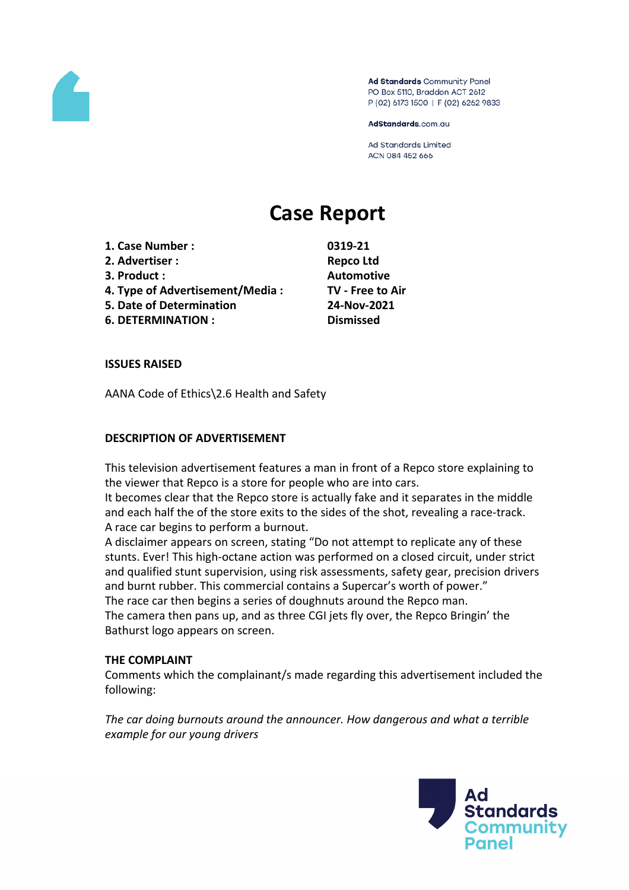

Ad Standards Community Panel PO Box 5110, Braddon ACT 2612 P (02) 6173 1500 | F (02) 6262 9833

AdStandards.com.au

Ad Standards Limited ACN 084 452 666

# **Case Report**

- **1. Case Number : 0319-21**
- **2. Advertiser : Repco Ltd**
- 
- **4. Type of Advertisement/Media : TV - Free to Air**
- **5. Date of Determination 24-Nov-2021**
- **6. DETERMINATION : Dismissed**

**3. Product : Automotive**

## **ISSUES RAISED**

AANA Code of Ethics\2.6 Health and Safety

## **DESCRIPTION OF ADVERTISEMENT**

This television advertisement features a man in front of a Repco store explaining to the viewer that Repco is a store for people who are into cars.

It becomes clear that the Repco store is actually fake and it separates in the middle and each half the of the store exits to the sides of the shot, revealing a race-track. A race car begins to perform a burnout.

A disclaimer appears on screen, stating "Do not attempt to replicate any of these stunts. Ever! This high-octane action was performed on a closed circuit, under strict and qualified stunt supervision, using risk assessments, safety gear, precision drivers and burnt rubber. This commercial contains a Supercar's worth of power."

The race car then begins a series of doughnuts around the Repco man.

The camera then pans up, and as three CGI jets fly over, the Repco Bringin' the Bathurst logo appears on screen.

### **THE COMPLAINT**

Comments which the complainant/s made regarding this advertisement included the following:

*The car doing burnouts around the announcer. How dangerous and what a terrible example for our young drivers*

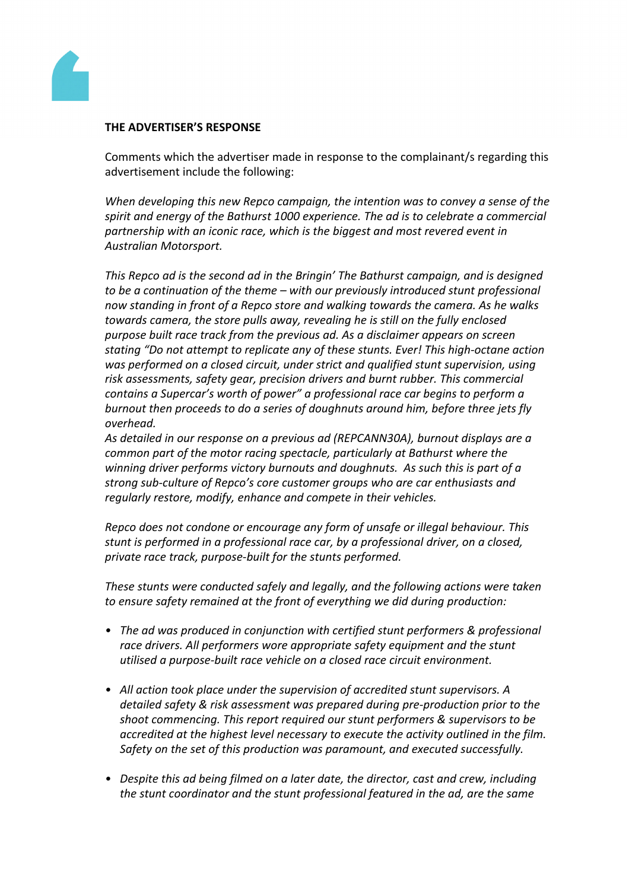

### **THE ADVERTISER'S RESPONSE**

Comments which the advertiser made in response to the complainant/s regarding this advertisement include the following:

*When developing this new Repco campaign, the intention was to convey a sense of the spirit and energy of the Bathurst 1000 experience. The ad is to celebrate a commercial partnership with an iconic race, which is the biggest and most revered event in Australian Motorsport.*

*This Repco ad is the second ad in the Bringin' The Bathurst campaign, and is designed to be a continuation of the theme – with our previously introduced stunt professional now standing in front of a Repco store and walking towards the camera. As he walks towards camera, the store pulls away, revealing he is still on the fully enclosed purpose built race track from the previous ad. As a disclaimer appears on screen stating "Do not attempt to replicate any of these stunts. Ever! This high-octane action was performed on a closed circuit, under strict and qualified stunt supervision, using risk assessments, safety gear, precision drivers and burnt rubber. This commercial contains a Supercar's worth of power" a professional race car begins to perform a burnout then proceeds to do a series of doughnuts around him, before three jets fly overhead.* 

*As detailed in our response on a previous ad (REPCANN30A), burnout displays are a common part of the motor racing spectacle, particularly at Bathurst where the winning driver performs victory burnouts and doughnuts. As such this is part of a strong sub-culture of Repco's core customer groups who are car enthusiasts and regularly restore, modify, enhance and compete in their vehicles.* 

*Repco does not condone or encourage any form of unsafe or illegal behaviour. This stunt is performed in a professional race car, by a professional driver, on a closed, private race track, purpose-built for the stunts performed.*

*These stunts were conducted safely and legally, and the following actions were taken to ensure safety remained at the front of everything we did during production:*

- *• The ad was produced in conjunction with certified stunt performers & professional race drivers. All performers wore appropriate safety equipment and the stunt utilised a purpose-built race vehicle on a closed race circuit environment.*
- *• All action took place under the supervision of accredited stunt supervisors. A detailed safety & risk assessment was prepared during pre-production prior to the shoot commencing. This report required our stunt performers & supervisors to be accredited at the highest level necessary to execute the activity outlined in the film. Safety on the set of this production was paramount, and executed successfully.*
- *• Despite this ad being filmed on a later date, the director, cast and crew, including the stunt coordinator and the stunt professional featured in the ad, are the same*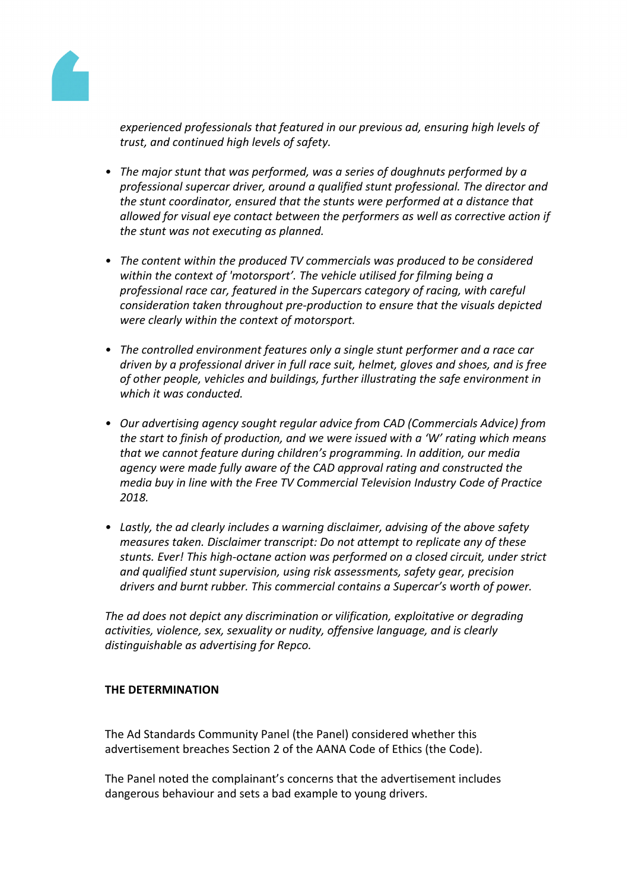

*experienced professionals that featured in our previous ad, ensuring high levels of trust, and continued high levels of safety.*

- *• The major stunt that was performed, was a series of doughnuts performed by a professional supercar driver, around a qualified stunt professional. The director and the stunt coordinator, ensured that the stunts were performed at a distance that allowed for visual eye contact between the performers as well as corrective action if the stunt was not executing as planned.*
- *• The content within the produced TV commercials was produced to be considered within the context of 'motorsport'. The vehicle utilised for filming being a professional race car, featured in the Supercars category of racing, with careful consideration taken throughout pre-production to ensure that the visuals depicted were clearly within the context of motorsport.*
- *• The controlled environment features only a single stunt performer and a race car driven by a professional driver in full race suit, helmet, gloves and shoes, and is free of other people, vehicles and buildings, further illustrating the safe environment in which it was conducted.*
- *• Our advertising agency sought regular advice from CAD (Commercials Advice) from the start to finish of production, and we were issued with a 'W' rating which means that we cannot feature during children's programming. In addition, our media agency were made fully aware of the CAD approval rating and constructed the media buy in line with the Free TV Commercial Television Industry Code of Practice 2018.*
- *• Lastly, the ad clearly includes a warning disclaimer, advising of the above safety measures taken. Disclaimer transcript: Do not attempt to replicate any of these stunts. Ever! This high-octane action was performed on a closed circuit, under strict and qualified stunt supervision, using risk assessments, safety gear, precision drivers and burnt rubber. This commercial contains a Supercar's worth of power.*

*The ad does not depict any discrimination or vilification, exploitative or degrading activities, violence, sex, sexuality or nudity, offensive language, and is clearly distinguishable as advertising for Repco.*

### **THE DETERMINATION**

The Ad Standards Community Panel (the Panel) considered whether this advertisement breaches Section 2 of the AANA Code of Ethics (the Code).

The Panel noted the complainant's concerns that the advertisement includes dangerous behaviour and sets a bad example to young drivers.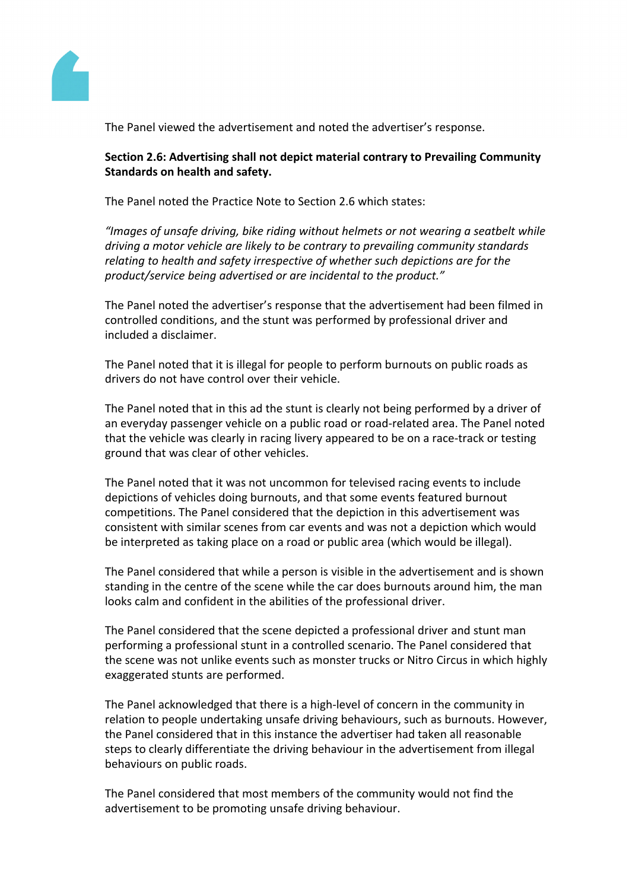

The Panel viewed the advertisement and noted the advertiser's response.

## **Section 2.6: Advertising shall not depict material contrary to Prevailing Community Standards on health and safety.**

The Panel noted the Practice Note to Section 2.6 which states:

*"Images of unsafe driving, bike riding without helmets or not wearing a seatbelt while driving a motor vehicle are likely to be contrary to prevailing community standards relating to health and safety irrespective of whether such depictions are for the product/service being advertised or are incidental to the product."*

The Panel noted the advertiser's response that the advertisement had been filmed in controlled conditions, and the stunt was performed by professional driver and included a disclaimer.

The Panel noted that it is illegal for people to perform burnouts on public roads as drivers do not have control over their vehicle.

The Panel noted that in this ad the stunt is clearly not being performed by a driver of an everyday passenger vehicle on a public road or road-related area. The Panel noted that the vehicle was clearly in racing livery appeared to be on a race-track or testing ground that was clear of other vehicles.

The Panel noted that it was not uncommon for televised racing events to include depictions of vehicles doing burnouts, and that some events featured burnout competitions. The Panel considered that the depiction in this advertisement was consistent with similar scenes from car events and was not a depiction which would be interpreted as taking place on a road or public area (which would be illegal).

The Panel considered that while a person is visible in the advertisement and is shown standing in the centre of the scene while the car does burnouts around him, the man looks calm and confident in the abilities of the professional driver.

The Panel considered that the scene depicted a professional driver and stunt man performing a professional stunt in a controlled scenario. The Panel considered that the scene was not unlike events such as monster trucks or Nitro Circus in which highly exaggerated stunts are performed.

The Panel acknowledged that there is a high-level of concern in the community in relation to people undertaking unsafe driving behaviours, such as burnouts. However, the Panel considered that in this instance the advertiser had taken all reasonable steps to clearly differentiate the driving behaviour in the advertisement from illegal behaviours on public roads.

The Panel considered that most members of the community would not find the advertisement to be promoting unsafe driving behaviour.